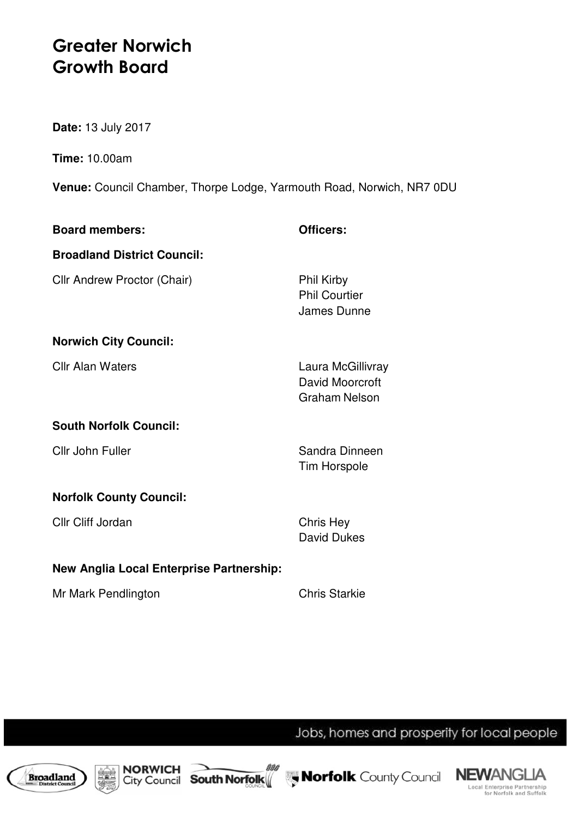## **Greater Norwich Growth Board**

**Date:** 13 July 2017

**Time:** 10.00am

**Venue:** Council Chamber, Thorpe Lodge, Yarmouth Road, Norwich, NR7 0DU

| <b>Board members:</b>                           | Officers:                                                    |
|-------------------------------------------------|--------------------------------------------------------------|
| <b>Broadland District Council:</b>              |                                                              |
| Cllr Andrew Proctor (Chair)                     | <b>Phil Kirby</b><br><b>Phil Courtier</b><br>James Dunne     |
| <b>Norwich City Council:</b>                    |                                                              |
| <b>Cllr Alan Waters</b>                         | Laura McGillivray<br>David Moorcroft<br><b>Graham Nelson</b> |
| <b>South Norfolk Council:</b>                   |                                                              |
| Cllr John Fuller                                | Sandra Dinneen<br><b>Tim Horspole</b>                        |
| <b>Norfolk County Council:</b>                  |                                                              |
| Cllr Cliff Jordan                               | Chris Hey<br>David Dukes                                     |
| <b>New Anglia Local Enterprise Partnership:</b> |                                                              |
| Mr Mark Pendlington                             | <b>Chris Starkie</b>                                         |

Jobs, homes and prosperity for local people









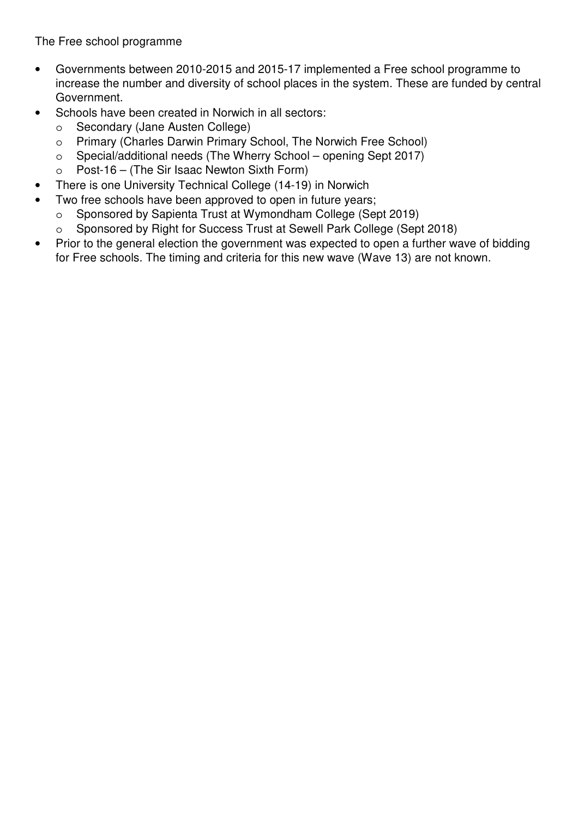## **8. FUTURE WORKING ARRANGEMENTS IN GREATER NORWICH**

The Board was provided with initial proposals for the revised working arrangements for the Greater Norwich Growth Board (GNGB) .

The Board had requested that a clear vision, objectives and coherent narrative for the growth of Greater Norwich be drafted.

The vision was that by 2036 >Norwich would be known as an international centre with a global reputation for excellence in the knowledge, life science and financial sectors. This would be achieved in partnership with business, who through sustainable growth would be motivated along with communities to stay and enjoy a better quality of life in Greater Norwich.

The proposed objectives were based on three strands; the Greater Norwich City Deal, recognising the unique natural assets of the area and working in partnership between local authorities and business to tackle skills gaps and shortages and to promote gender equality in employment.

A Member welcomed the inclusive growth model, as it was important not to marginalise people especially in Norwich, which had an hourglass economy.

The Chairman noted that partnership working would be a key aspect of the work of the GNGB.

It was emphasised that this was a work in progress and would be developed as the role of the GNGB increased.

The meeting was informed that the job description of the Greater Norwich Director of Growth had been drafted, and the recruitment process would be brought to the Board for agreement. EELGA had worked up a draft proposal, which would now be finalised. It was also suggested that increasing the size of the Delivery Team should also be considered as part of this work.

Members were also advised that a range of options were also being looked at for the Special Purpose Delivery Vehicle, as well as the content of the Delivery Programme for the Team.

## **9. DATE OF NEXT MEETING**

10.00 am, Thursday 13 July 2017, at Broadland District Council

*The meeting closed at 11.11 am.*